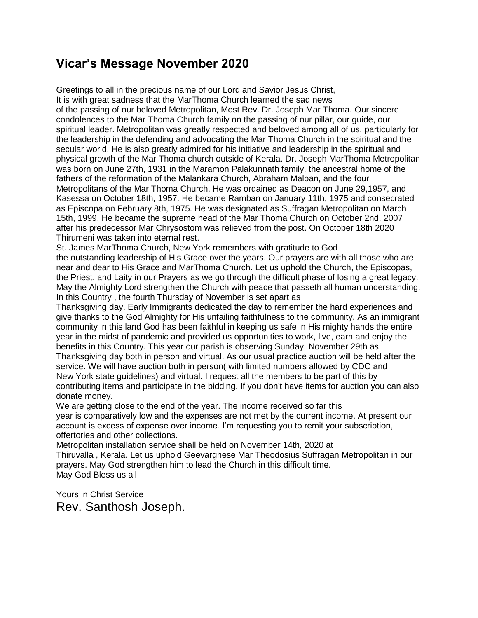# **Vicar's Message November 2020**

Greetings to all in the precious name of our Lord and Savior Jesus Christ, It is with great sadness that the MarThoma Church learned the sad news of the passing of our beloved Metropolitan, Most Rev. Dr. Joseph Mar Thoma. Our sincere condolences to the Mar Thoma Church family on the passing of our pillar, our guide, our spiritual leader. Metropolitan was greatly respected and beloved among all of us, particularly for the leadership in the defending and advocating the Mar Thoma Church in the spiritual and the secular world. He is also greatly admired for his initiative and leadership in the spiritual and physical growth of the Mar Thoma church outside of Kerala. Dr. Joseph MarThoma Metropolitan was born on June 27th, 1931 in the Maramon Palakunnath family, the ancestral home of the fathers of the reformation of the Malankara Church, Abraham Malpan, and the four Metropolitans of the Mar Thoma Church. He was ordained as Deacon on June 29,1957, and Kasessa on October 18th, 1957. He became Ramban on January 11th, 1975 and consecrated as Episcopa on February 8th, 1975. He was designated as Suffragan Metropolitan on March 15th, 1999. He became the supreme head of the Mar Thoma Church on October 2nd, 2007 after his predecessor Mar Chrysostom was relieved from the post. On October 18th 2020 Thirumeni was taken into eternal rest.

St. James MarThoma Church, New York remembers with gratitude to God the outstanding leadership of His Grace over the years. Our prayers are with all those who are near and dear to His Grace and MarThoma Church. Let us uphold the Church, the Episcopas, the Priest, and Laity in our Prayers as we go through the difficult phase of losing a great legacy. May the Almighty Lord strengthen the Church with peace that passeth all human understanding. In this Country , the fourth Thursday of November is set apart as

Thanksgiving day. Early Immigrants dedicated the day to remember the hard experiences and give thanks to the God Almighty for His unfailing faithfulness to the community. As an immigrant community in this land God has been faithful in keeping us safe in His mighty hands the entire year in the midst of pandemic and provided us opportunities to work, live, earn and enjoy the benefits in this Country. This year our parish is observing Sunday, November 29th as Thanksgiving day both in person and virtual. As our usual practice auction will be held after the service. We will have auction both in person( with limited numbers allowed by CDC and New York state guidelines) and virtual. I request all the members to be part of this by contributing items and participate in the bidding. If you don't have items for auction you can also donate money.

We are getting close to the end of the year. The income received so far this year is comparatively low and the expenses are not met by the current income. At present our account is excess of expense over income. I'm requesting you to remit your subscription, offertories and other collections.

Metropolitan installation service shall be held on November 14th, 2020 at Thiruvalla , Kerala. Let us uphold Geevarghese Mar Theodosius Suffragan Metropolitan in our prayers. May God strengthen him to lead the Church in this difficult time. May God Bless us all

Yours in Christ Service Rev. Santhosh Joseph.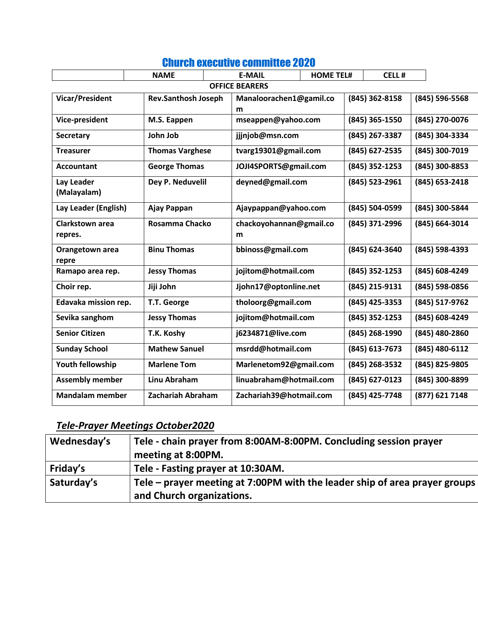|                                   | <b>NAME</b>                | <b>E-MAIL</b> |                         | <b>HOME TEL#</b> | <b>CELL#</b>   |                |
|-----------------------------------|----------------------------|---------------|-------------------------|------------------|----------------|----------------|
| <b>OFFICE BEARERS</b>             |                            |               |                         |                  |                |                |
| <b>Vicar/President</b>            | <b>Rev.Santhosh Joseph</b> |               | Manaloorachen1@gamil.co |                  | (845) 362-8158 | (845) 596-5568 |
|                                   |                            | m             |                         |                  |                |                |
| Vice-president                    | M.S. Eappen                |               | mseappen@yahoo.com      |                  | (845) 365-1550 | (845) 270-0076 |
| <b>Secretary</b>                  | John Job                   |               | jjjnjob@msn.com         |                  | (845) 267-3387 | (845) 304-3334 |
| <b>Treasurer</b>                  | <b>Thomas Varghese</b>     |               | tvarg19301@gmail.com    |                  | (845) 627-2535 | (845) 300-7019 |
| <b>Accountant</b>                 | <b>George Thomas</b>       |               | JOJI4SPORTS@gmail.com   |                  | (845) 352-1253 | (845) 300-8853 |
| Lay Leader<br>(Malayalam)         | Dey P. Neduvelil           |               | deyned@gmail.com        |                  | (845) 523-2961 | (845) 653-2418 |
| Lay Leader (English)              | Ajay Pappan                |               | Ajaypappan@yahoo.com    |                  | (845) 504-0599 | (845) 300-5844 |
| <b>Clarkstown area</b><br>repres. | <b>Rosamma Chacko</b>      | m             | chackoyohannan@gmail.co |                  | (845) 371-2996 | (845) 664-3014 |
| Orangetown area<br>repre          | <b>Binu Thomas</b>         |               | bbinoss@gmail.com       |                  | (845) 624-3640 | (845) 598-4393 |
| Ramapo area rep.                  | <b>Jessy Thomas</b>        |               | jojitom@hotmail.com     |                  | (845) 352-1253 | (845) 608-4249 |
| Choir rep.                        | Jiji John                  |               | Jjohn17@optonline.net   |                  | (845) 215-9131 | (845) 598-0856 |
| Edavaka mission rep.              | T.T. George                |               | tholoorg@gmail.com      |                  | (845) 425-3353 | (845) 517-9762 |
| Sevika sanghom                    | <b>Jessy Thomas</b>        |               | jojitom@hotmail.com     |                  | (845) 352-1253 | (845) 608-4249 |
| <b>Senior Citizen</b>             | T.K. Koshy                 |               | j6234871@live.com       |                  | (845) 268-1990 | (845) 480-2860 |
| <b>Sunday School</b>              | <b>Mathew Sanuel</b>       |               | msrdd@hotmail.com       |                  | (845) 613-7673 | (845) 480-6112 |
| Youth fellowship                  | <b>Marlene Tom</b>         |               | Marlenetom92@gmail.com  |                  | (845) 268-3532 | (845) 825-9805 |
| <b>Assembly member</b>            | Linu Abraham               |               | linuabraham@hotmail.com |                  | (845) 627-0123 | (845) 300-8899 |
| <b>Mandalam member</b>            | <b>Zachariah Abraham</b>   |               | Zachariah39@hotmail.com |                  | (845) 425-7748 | (877) 621 7148 |

## Church executive committee 2020

# *Tele-Prayer Meetings October2020*

| Wednesday's | Tele - chain prayer from 8:00AM-8:00PM. Concluding session prayer          |
|-------------|----------------------------------------------------------------------------|
|             | meeting at 8:00PM.                                                         |
| Friday's    | Tele - Fasting prayer at 10:30AM.                                          |
| Saturday's  | Tele – prayer meeting at 7:00PM with the leader ship of area prayer groups |
|             | and Church organizations.                                                  |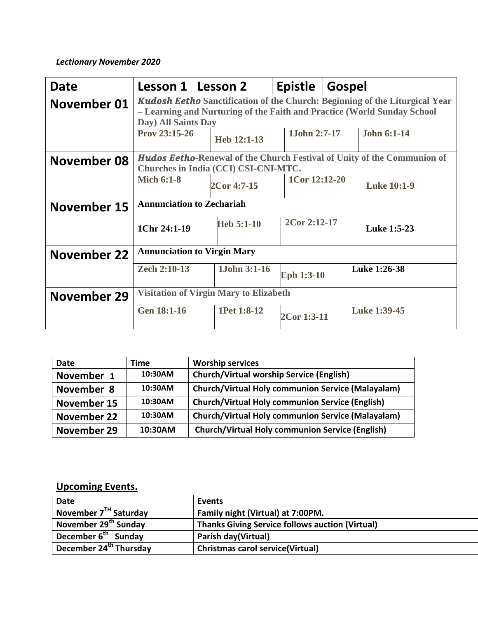### *Lectionary November 2020*

| Date        | Lesson 1   Lesson 2                                                                                                                                                                  |  |              | <b>Epistle</b>    | <b>Gospel</b> |                    |
|-------------|--------------------------------------------------------------------------------------------------------------------------------------------------------------------------------------|--|--------------|-------------------|---------------|--------------------|
| November 01 | <b>Kudosh Eetho Sanctification of the Church: Beginning of the Liturgical Year</b><br>- Learning and Nurturing of the Faith and Practice (World Sunday School<br>Day) All Saints Day |  |              |                   |               |                    |
|             | Prov 23:15-26                                                                                                                                                                        |  | Heb 12:1-13  | 1John 2:7-17      |               | <b>John 6:1-14</b> |
| November 08 | <b>Hudos Eetho-Renewal of the Church Festival of Unity of the Communion of</b><br>Churches in India (CCI) CSI-CNI-MTC.                                                               |  |              |                   |               |                    |
|             | <b>Mich 6:1-8</b>                                                                                                                                                                    |  | 2Cor 4:7-15  | 1Cor 12:12-20     |               | <b>Luke 10:1-9</b> |
| November 15 | <b>Annunciation to Zechariah</b>                                                                                                                                                     |  |              |                   |               |                    |
|             | 1Chr 24:1-19                                                                                                                                                                         |  | $Heb 5:1-10$ | 2Cor 2:12-17      |               | <b>Luke 1:5-23</b> |
| November 22 | <b>Annunciation to Virgin Mary</b>                                                                                                                                                   |  |              |                   |               |                    |
|             | Zech 2:10-13                                                                                                                                                                         |  | 1John 3:1-16 | <b>Eph 1:3-10</b> |               | Luke 1:26-38       |
| November 29 | <b>Visitation of Virgin Mary to Elizabeth</b>                                                                                                                                        |  |              |                   |               |                    |
|             | <b>Gen 18:1-16</b>                                                                                                                                                                   |  | 1Pet 1:8-12  | 2Cor 1:3-11       |               | Luke 1:39-45       |

| <b>Date</b> | Time    | <b>Worship services</b>                                  |
|-------------|---------|----------------------------------------------------------|
| November 1  | 10:30AM | <b>Church/Virtual worship Service (English)</b>          |
| November 8  | 10:30AM | <b>Church/Virtual Holy communion Service (Malayalam)</b> |
| November 15 | 10:30AM | <b>Church/Virtual Holy communion Service (English)</b>   |
| November 22 | 10:30AM | <b>Church/Virtual Holy communion Service (Malayalam)</b> |
| November 29 | 10:30AM | <b>Church/Virtual Holy communion Service (English)</b>   |

## **Upcoming Events.**

| <b>Date</b>                        | Events                                                 |
|------------------------------------|--------------------------------------------------------|
| November 7 <sup>TH</sup> Saturday  | Family night (Virtual) at 7:00PM.                      |
| November 29 <sup>th</sup> Sunday   | <b>Thanks Giving Service follows auction (Virtual)</b> |
| December 6 <sup>th</sup> Sunday    | Parish day(Virtual)                                    |
| December 24 <sup>th</sup> Thursday | <b>Christmas carol service (Virtual)</b>               |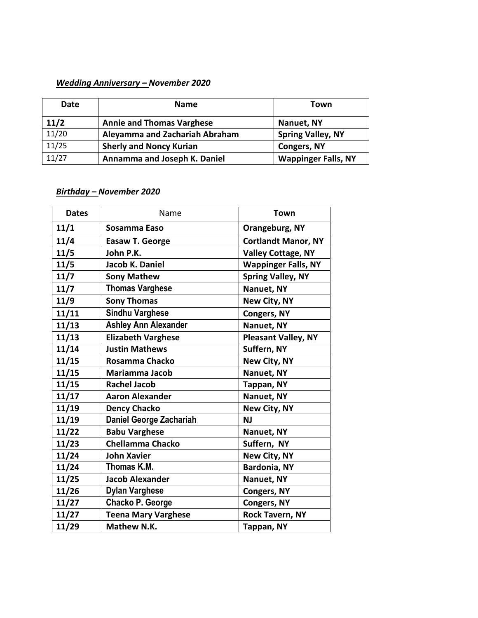#### *Wedding Anniversary – November 2020*

| Date  | <b>Name</b>                      | Town                       |
|-------|----------------------------------|----------------------------|
| 11/2  | <b>Annie and Thomas Varghese</b> | Nanuet, NY                 |
| 11/20 | Aleyamma and Zachariah Abraham   | <b>Spring Valley, NY</b>   |
| 11/25 | <b>Sherly and Noncy Kurian</b>   | <b>Congers, NY</b>         |
| 11/27 | Annamma and Joseph K. Daniel     | <b>Wappinger Falls, NY</b> |

#### *Birthday – November 2020*

| <b>Dates</b> | Name                           | <b>Town</b>                |
|--------------|--------------------------------|----------------------------|
| 11/1         | Sosamma Easo                   | Orangeburg, NY             |
| 11/4         | <b>Easaw T. George</b>         | <b>Cortlandt Manor, NY</b> |
| 11/5         | John P.K.                      | <b>Valley Cottage, NY</b>  |
| 11/5         | Jacob K. Daniel                | <b>Wappinger Falls, NY</b> |
| 11/7         | <b>Sony Mathew</b>             | <b>Spring Valley, NY</b>   |
| 11/7         | <b>Thomas Varghese</b>         | Nanuet, NY                 |
| 11/9         | <b>Sony Thomas</b>             | New City, NY               |
| 11/11        | <b>Sindhu Varghese</b>         | <b>Congers, NY</b>         |
| 11/13        | <b>Ashley Ann Alexander</b>    | Nanuet, NY                 |
| 11/13        | <b>Elizabeth Varghese</b>      | <b>Pleasant Valley, NY</b> |
| 11/14        | <b>Justin Mathews</b>          | Suffern, NY                |
| 11/15        | Rosamma Chacko                 | New City, NY               |
| 11/15        | <b>Mariamma Jacob</b>          | Nanuet, NY                 |
| 11/15        | <b>Rachel Jacob</b>            | Tappan, NY                 |
| 11/17        | <b>Aaron Alexander</b>         | Nanuet, NY                 |
| 11/19        | <b>Dency Chacko</b>            | New City, NY               |
| 11/19        | <b>Daniel George Zachariah</b> | <b>NJ</b>                  |
| 11/22        | <b>Babu Varghese</b>           | Nanuet, NY                 |
| 11/23        | <b>Chellamma Chacko</b>        | Suffern, NY                |
| 11/24        | <b>John Xavier</b>             | New City, NY               |
| 11/24        | Thomas K.M.                    | <b>Bardonia, NY</b>        |
| 11/25        | <b>Jacob Alexander</b>         | Nanuet, NY                 |
| 11/26        | <b>Dylan Varghese</b>          | <b>Congers, NY</b>         |
| 11/27        | <b>Chacko P. George</b>        | <b>Congers, NY</b>         |
| 11/27        | <b>Teena Mary Varghese</b>     | <b>Rock Tavern, NY</b>     |
| 11/29        | Mathew N.K.                    | Tappan, NY                 |